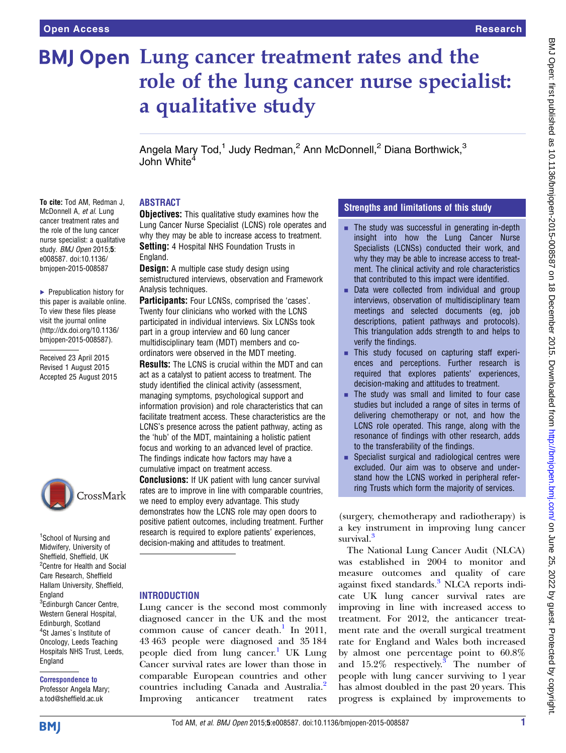# **BMJ Open Lung cancer treatment rates and the** role of the lung cancer nurse specialist: a qualitative study

Angela Mary Tod,<sup>1</sup> Judy Redman,<sup>2</sup> Ann McDonnell,<sup>2</sup> Diana Borthwick,<sup>3</sup> John White<sup>4</sup>

#### ABSTRACT

To cite: Tod AM, Redman J, McDonnell A, et al. Lung cancer treatment rates and the role of the lung cancer nurse specialist: a qualitative study. BMJ Open 2015;5: e008587. doi:10.1136/ bmjopen-2015-008587

▶ Prepublication history for this paper is available online. To view these files please visit the journal online [\(http://dx.doi.org/10.1136/](http://dx.doi.org/10.1136/bmjopen-2015-008587) [bmjopen-2015-008587](http://dx.doi.org/10.1136/bmjopen-2015-008587)).

Received 23 April 2015 Revised 1 August 2015 Accepted 25 August 2015



<sup>1</sup>School of Nursing and Midwifery, University of Sheffield, Sheffield, UK <sup>2</sup> Centre for Health and Social Care Research, Sheffield Hallam University, Sheffield, England <sup>3</sup>Edinburgh Cancer Centre, Western General Hospital, Edinburgh, Scotland 4 St James`s Institute of Oncology, Leeds Teaching Hospitals NHS Trust, Leeds, England

Correspondence to Professor Angela Mary; a.tod@sheffield.ac.uk

**Objectives:** This qualitative study examines how the Lung Cancer Nurse Specialist (LCNS) role operates and why they may be able to increase access to treatment. **Setting:** 4 Hospital NHS Foundation Trusts in England.

**Design:** A multiple case study design using semistructured interviews, observation and Framework Analysis techniques.

**Participants:** Four LCNSs, comprised the 'cases'. Twenty four clinicians who worked with the LCNS participated in individual interviews. Six LCNSs took part in a group interview and 60 lung cancer multidisciplinary team (MDT) members and coordinators were observed in the MDT meeting.

**Results:** The LCNS is crucial within the MDT and can act as a catalyst to patient access to treatment. The study identified the clinical activity (assessment, managing symptoms, psychological support and information provision) and role characteristics that can facilitate treatment access. These characteristics are the LCNS's presence across the patient pathway, acting as the 'hub' of the MDT, maintaining a holistic patient focus and working to an advanced level of practice. The findings indicate how factors may have a cumulative impact on treatment access.

Conclusions: If UK patient with lung cancer survival rates are to improve in line with comparable countries, we need to employ every advantage. This study demonstrates how the LCNS role may open doors to positive patient outcomes, including treatment. Further research is required to explore patients' experiences, decision-making and attitudes to treatment.

#### **INTRODUCTION**

Lung cancer is the second most commonly diagnosed cancer in the UK and the most common cause of cancer death.<sup>[1](#page-8-0)</sup> In 2011, 43 463 people were diagnosed and 35 184 people died from lung cancer.<sup>[1](#page-8-0)</sup> UK Lung Cancer survival rates are lower than those in comparable European countries and other countries including Canada and Australia.<sup>[2](#page-8-0)</sup> Improving anticancer treatment rates

#### Strengths and limitations of this study

- $\blacksquare$  The study was successful in generating in-depth insight into how the Lung Cancer Nurse Specialists (LCNSs) conducted their work, and why they may be able to increase access to treatment. The clinical activity and role characteristics that contributed to this impact were identified.
- $\blacksquare$  Data were collected from individual and group interviews, observation of multidisciplinary team meetings and selected documents (eg, job descriptions, patient pathways and protocols). This triangulation adds strength to and helps to verify the findings.
- **EXECUTE:** This study focused on capturing staff experiences and perceptions. Further research is required that explores patients' experiences, decision-making and attitudes to treatment.
- $\blacksquare$  The study was small and limited to four case studies but included a range of sites in terms of delivering chemotherapy or not, and how the LCNS role operated. This range, along with the resonance of findings with other research, adds to the transferability of the findings.
- Specialist surgical and radiological centres were excluded. Our aim was to observe and understand how the LCNS worked in peripheral referring Trusts which form the majority of services.

(surgery, chemotherapy and radiotherapy) is a key instrument in improving lung cancer survival.<sup>[3](#page-8-0)</sup>

The National Lung Cancer Audit (NLCA) was established in 2004 to monitor and measure outcomes and quality of care against fixed standards.<sup>[3](#page-8-0)</sup> NLCA reports indicate UK lung cancer survival rates are improving in line with increased access to treatment. For 2012, the anticancer treatment rate and the overall surgical treatment rate for England and Wales both increased by almost one percentage point to 60.8% and  $15.2\%$  respectively.<sup>[3](#page-8-0)</sup> The number of people with lung cancer surviving to 1 year has almost doubled in the past 20 years. This progress is explained by improvements to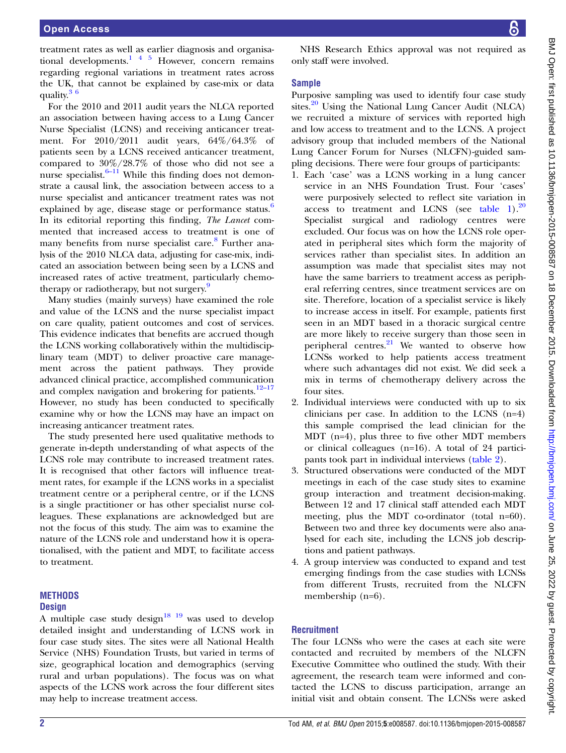treatment rates as well as earlier diagnosis and organisa-tional developments.<sup>[145](#page-8-0)</sup> However, concern remains regarding regional variations in treatment rates across the UK, that cannot be explained by case-mix or data quality.[3 6](#page-8-0)

For the 2010 and 2011 audit years the NLCA reported an association between having access to a Lung Cancer Nurse Specialist (LCNS) and receiving anticancer treatment. For 2010/2011 audit years, 64%/64.3% of patients seen by a LCNS received anticancer treatment, compared to 30%/28.7% of those who did not see a nurse specialist. $6-11$  $6-11$  While this finding does not demonstrate a causal link, the association between access to a nurse specialist and anticancer treatment rates was not explained by age, disease stage or performance status.<sup>[6](#page-8-0)</sup> In its editorial reporting this finding, The Lancet commented that increased access to treatment is one of many benefits from nurse specialist care.<sup>[8](#page-8-0)</sup> Further analysis of the 2010 NLCA data, adjusting for case-mix, indicated an association between being seen by a LCNS and increased rates of active treatment, particularly chemotherapy or radiotherapy, but not surgery.<sup>9</sup>

Many studies (mainly surveys) have examined the role and value of the LCNS and the nurse specialist impact on care quality, patient outcomes and cost of services. This evidence indicates that benefits are accrued though the LCNS working collaboratively within the multidisciplinary team (MDT) to deliver proactive care management across the patient pathways. They provide advanced clinical practice, accomplished communication and complex navigation and brokering for patients. $12-17$  $12-17$ However, no study has been conducted to specifically examine why or how the LCNS may have an impact on increasing anticancer treatment rates.

The study presented here used qualitative methods to generate in-depth understanding of what aspects of the LCNS role may contribute to increased treatment rates. It is recognised that other factors will influence treatment rates, for example if the LCNS works in a specialist treatment centre or a peripheral centre, or if the LCNS is a single practitioner or has other specialist nurse colleagues. These explanations are acknowledged but are not the focus of this study. The aim was to examine the nature of the LCNS role and understand how it is operationalised, with the patient and MDT, to facilitate access to treatment.

#### **METHODS Design**

A multiple case study design<sup>[18 19](#page-8-0)</sup> was used to develop detailed insight and understanding of LCNS work in four case study sites. The sites were all National Health Service (NHS) Foundation Trusts, but varied in terms of size, geographical location and demographics (serving rural and urban populations). The focus was on what aspects of the LCNS work across the four different sites may help to increase treatment access.

NHS Research Ethics approval was not required as only staff were involved.

#### Sample

Purposive sampling was used to identify four case study sites.<sup>[20](#page-8-0)</sup> Using the National Lung Cancer Audit (NLCA) we recruited a mixture of services with reported high and low access to treatment and to the LCNS. A project advisory group that included members of the National Lung Cancer Forum for Nurses (NLCFN)-guided sampling decisions. There were four groups of participants:

- 1. Each 'case' was a LCNS working in a lung cancer service in an NHS Foundation Trust. Four 'cases' were purposively selected to reflect site variation in access to treatment and LCNS (see table  $1$ ).<sup>[20](#page-8-0)</sup> Specialist surgical and radiology centres were excluded. Our focus was on how the LCNS role operated in peripheral sites which form the majority of services rather than specialist sites. In addition an assumption was made that specialist sites may not have the same barriers to treatment access as peripheral referring centres, since treatment services are on site. Therefore, location of a specialist service is likely to increase access in itself. For example, patients first seen in an MDT based in a thoracic surgical centre are more likely to receive surgery than those seen in peripheral centres.<sup>[21](#page-8-0)</sup> We wanted to observe how LCNSs worked to help patients access treatment where such advantages did not exist. We did seek a mix in terms of chemotherapy delivery across the four sites.
- 2. Individual interviews were conducted with up to six clinicians per case. In addition to the LCNS (n=4) this sample comprised the lead clinician for the MDT (n=4), plus three to five other MDT members or clinical colleagues (n=16). A total of 24 participants took part in individual interviews ([table 2](#page-2-0)).
- 3. Structured observations were conducted of the MDT meetings in each of the case study sites to examine group interaction and treatment decision-making. Between 12 and 17 clinical staff attended each MDT meeting, plus the MDT co-ordinator (total n=60). Between two and three key documents were also analysed for each site, including the LCNS job descriptions and patient pathways.
- 4. A group interview was conducted to expand and test emerging findings from the case studies with LCNSs from different Trusts, recruited from the NLCFN membership (n=6).

### Recruitment

The four LCNSs who were the cases at each site were contacted and recruited by members of the NLCFN Executive Committee who outlined the study. With their agreement, the research team were informed and contacted the LCNS to discuss participation, arrange an initial visit and obtain consent. The LCNSs were asked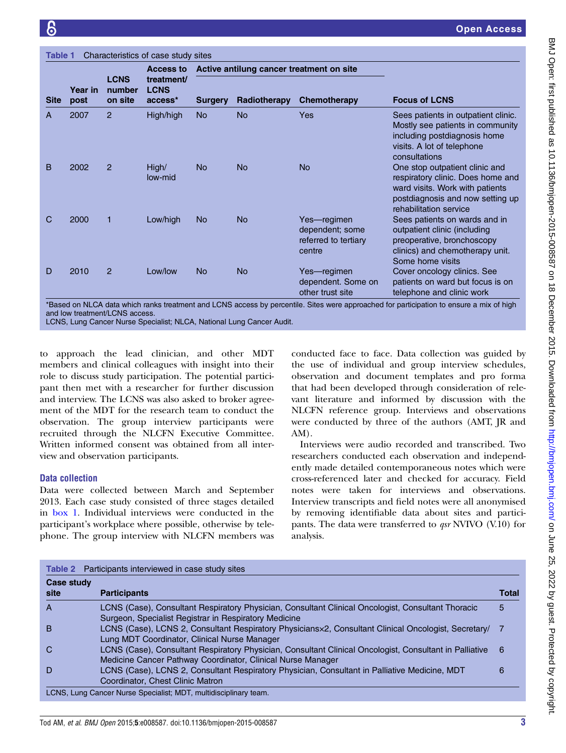<span id="page-2-0"></span>

|             |                        |                                  | <b>Access to</b>                     | Active antilung cancer treatment on site |                |                                                                  |                                                                                                                                                                      |
|-------------|------------------------|----------------------------------|--------------------------------------|------------------------------------------|----------------|------------------------------------------------------------------|----------------------------------------------------------------------------------------------------------------------------------------------------------------------|
| <b>Site</b> | <b>Year in</b><br>post | <b>LCNS</b><br>number<br>on site | treatment/<br><b>LCNS</b><br>access* | <b>Surgery</b>                           | Radiotherapy   | Chemotherapy                                                     | <b>Focus of LCNS</b>                                                                                                                                                 |
| A           | 2007                   | $\overline{2}$                   | High/high                            | <b>No</b>                                | <b>No</b>      | Yes                                                              | Sees patients in outpatient clinic.<br>Mostly see patients in community<br>including postdiagnosis home<br>visits. A lot of telephone<br>consultations               |
| B           | 2002                   | 2                                | High/<br>low-mid                     | <b>No</b>                                | <b>No</b>      | <b>No</b>                                                        | One stop outpatient clinic and<br>respiratory clinic. Does home and<br>ward visits. Work with patients<br>postdiagnosis and now setting up<br>rehabilitation service |
| C           | 2000                   | 1                                | Low/high                             | <b>No</b>                                | N <sub>o</sub> | Yes-regimen<br>dependent; some<br>referred to tertiary<br>centre | Sees patients on wards and in<br>outpatient clinic (including<br>preoperative, bronchoscopy<br>clinics) and chemotherapy unit.<br>Some home visits                   |
| D           | 2010                   | $\overline{2}$                   | Low/low                              | <b>No</b>                                | <b>No</b>      | Yes-regimen<br>dependent. Some on<br>other trust site            | Cover oncology clinics. See<br>patients on ward but focus is on<br>telephone and clinic work                                                                         |

and low treatment/LCNS access.

LCNS, Lung Cancer Nurse Specialist; NLCA, National Lung Cancer Audit.

to approach the lead clinician, and other MDT members and clinical colleagues with insight into their role to discuss study participation. The potential participant then met with a researcher for further discussion and interview. The LCNS was also asked to broker agreement of the MDT for the research team to conduct the observation. The group interview participants were recruited through the NLCFN Executive Committee. Written informed consent was obtained from all interview and observation participants.

#### Data collection

Data were collected between March and September 2013. Each case study consisted of three stages detailed in [box 1.](#page-3-0) Individual interviews were conducted in the participant's workplace where possible, otherwise by telephone. The group interview with NLCFN members was

conducted face to face. Data collection was guided by the use of individual and group interview schedules, observation and document templates and pro forma that had been developed through consideration of relevant literature and informed by discussion with the NLCFN reference group. Interviews and observations were conducted by three of the authors (AMT, JR and AM).

Interviews were audio recorded and transcribed. Two researchers conducted each observation and independently made detailed contemporaneous notes which were cross-referenced later and checked for accuracy. Field notes were taken for interviews and observations. Interview transcripts and field notes were all anonymised by removing identifiable data about sites and participants. The data were transferred to qsr NVIVO (V.10) for analysis.

|                    | <b>Table 2</b> Participants interviewed in case study sites                                                                                                            |              |
|--------------------|------------------------------------------------------------------------------------------------------------------------------------------------------------------------|--------------|
| Case study<br>site | <b>Participants</b>                                                                                                                                                    | <b>Total</b> |
| A                  | LCNS (Case), Consultant Respiratory Physician, Consultant Clinical Oncologist, Consultant Thoracic<br>Surgeon, Specialist Registrar in Respiratory Medicine            | 5            |
| в                  | LCNS (Case), LCNS 2, Consultant Respiratory Physicians×2, Consultant Clinical Oncologist, Secretary/<br>Lung MDT Coordinator, Clinical Nurse Manager                   |              |
| С                  | LCNS (Case), Consultant Respiratory Physician, Consultant Clinical Oncologist, Consultant in Palliative<br>Medicine Cancer Pathway Coordinator, Clinical Nurse Manager | 6            |
| D                  | LCNS (Case), LCNS 2, Consultant Respiratory Physician, Consultant in Palliative Medicine, MDT<br>Coordinator, Chest Clinic Matron                                      | 6            |
|                    | LCNS, Lung Cancer Nurse Specialist; MDT, multidisciplinary team.                                                                                                       |              |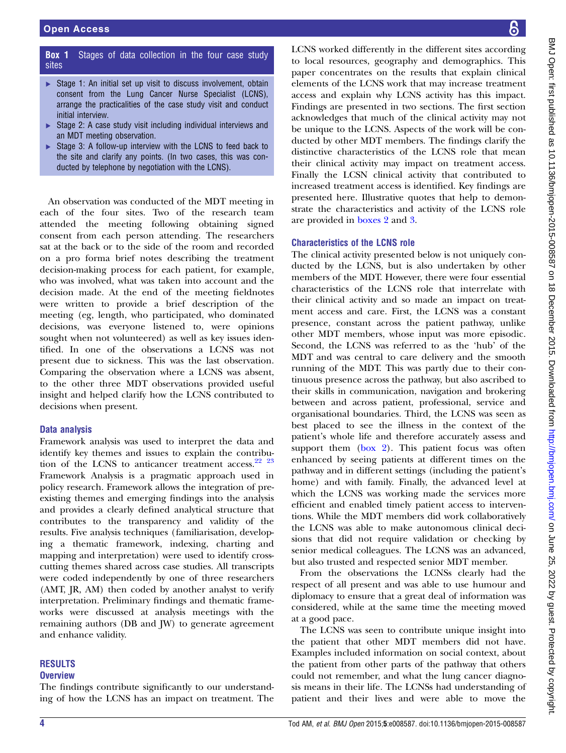#### <span id="page-3-0"></span>**Box 1** Stages of data collection in the four case study sites

- ▶ Stage 1: An initial set up visit to discuss involvement, obtain consent from the Lung Cancer Nurse Specialist (LCNS), arrange the practicalities of the case study visit and conduct initial interview.
- $\triangleright$  Stage 2: A case study visit including individual interviews and an MDT meeting observation.
- ▸ Stage 3: A follow-up interview with the LCNS to feed back to the site and clarify any points. (In two cases, this was conducted by telephone by negotiation with the LCNS).

An observation was conducted of the MDT meeting in each of the four sites. Two of the research team attended the meeting following obtaining signed consent from each person attending. The researchers sat at the back or to the side of the room and recorded on a pro forma brief notes describing the treatment decision-making process for each patient, for example, who was involved, what was taken into account and the decision made. At the end of the meeting fieldnotes were written to provide a brief description of the meeting (eg, length, who participated, who dominated decisions, was everyone listened to, were opinions sought when not volunteered) as well as key issues identified. In one of the observations a LCNS was not present due to sickness. This was the last observation. Comparing the observation where a LCNS was absent, to the other three MDT observations provided useful insight and helped clarify how the LCNS contributed to decisions when present.

#### Data analysis

Framework analysis was used to interpret the data and identify key themes and issues to explain the contribution of the LCNS to anticancer treatment access.<sup>22</sup> <sup>23</sup> Framework Analysis is a pragmatic approach used in policy research. Framework allows the integration of preexisting themes and emerging findings into the analysis and provides a clearly defined analytical structure that contributes to the transparency and validity of the results. Five analysis techniques (familiarisation, developing a thematic framework, indexing, charting and mapping and interpretation) were used to identify crosscutting themes shared across case studies. All transcripts were coded independently by one of three researchers (AMT, JR, AM) then coded by another analyst to verify interpretation. Preliminary findings and thematic frameworks were discussed at analysis meetings with the remaining authors (DB and JW) to generate agreement and enhance validity.

## RESULTS

#### **Overview**

The findings contribute significantly to our understanding of how the LCNS has an impact on treatment. The

LCNS worked differently in the different sites according to local resources, geography and demographics. This paper concentrates on the results that explain clinical elements of the LCNS work that may increase treatment access and explain why LCNS activity has this impact. Findings are presented in two sections. The first section acknowledges that much of the clinical activity may not be unique to the LCNS. Aspects of the work will be conducted by other MDT members. The findings clarify the distinctive characteristics of the LCNS role that mean their clinical activity may impact on treatment access. Finally the LCSN clinical activity that contributed to increased treatment access is identified. Key findings are presented here. Illustrative quotes that help to demonstrate the characteristics and activity of the LCNS role are provided in [boxes 2](#page-4-0) and [3.](#page-5-0)

#### Characteristics of the LCNS role

The clinical activity presented below is not uniquely conducted by the LCNS, but is also undertaken by other members of the MDT. However, there were four essential characteristics of the LCNS role that interrelate with their clinical activity and so made an impact on treatment access and care. First, the LCNS was a constant presence, constant across the patient pathway, unlike other MDT members, whose input was more episodic. Second, the LCNS was referred to as the 'hub' of the MDT and was central to care delivery and the smooth running of the MDT. This was partly due to their continuous presence across the pathway, but also ascribed to their skills in communication, navigation and brokering between and across patient, professional, service and organisational boundaries. Third, the LCNS was seen as best placed to see the illness in the context of the patient's whole life and therefore accurately assess and support them ([box 2](#page-4-0)). This patient focus was often enhanced by seeing patients at different times on the pathway and in different settings (including the patient's home) and with family. Finally, the advanced level at which the LCNS was working made the services more efficient and enabled timely patient access to interventions. While the MDT members did work collaboratively the LCNS was able to make autonomous clinical decisions that did not require validation or checking by senior medical colleagues. The LCNS was an advanced, but also trusted and respected senior MDT member.

From the observations the LCNSs clearly had the respect of all present and was able to use humour and diplomacy to ensure that a great deal of information was considered, while at the same time the meeting moved at a good pace.

The LCNS was seen to contribute unique insight into the patient that other MDT members did not have. Examples included information on social context, about the patient from other parts of the pathway that others could not remember, and what the lung cancer diagnosis means in their life. The LCNSs had understanding of patient and their lives and were able to move the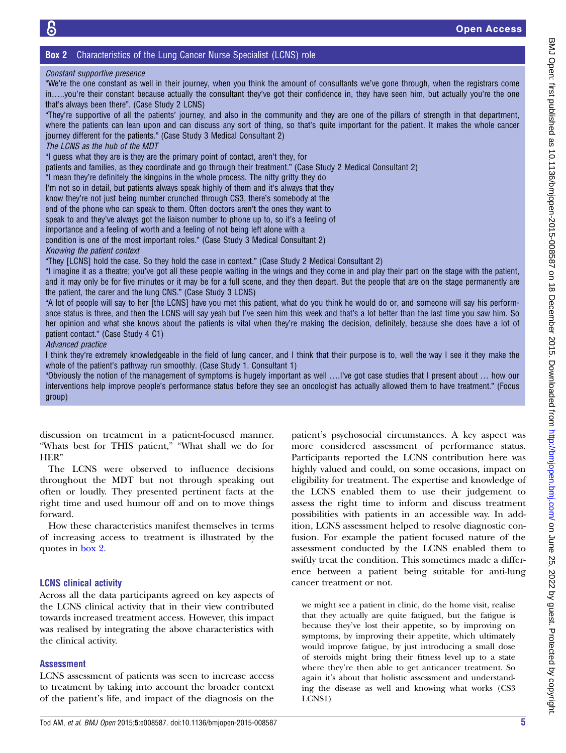#### <span id="page-4-0"></span>**Box 2** Characteristics of the Lung Cancer Nurse Specialist (LCNS) role

#### Constant supportive presence

"We're the one constant as well in their journey, when you think the amount of consultants we've gone through, when the registrars come in…..you're their constant because actually the consultant they've got their confidence in, they have seen him, but actually you're the one that's always been there". (Case Study 2 LCNS)

"They're supportive of all the patients' journey, and also in the community and they are one of the pillars of strength in that department, where the patients can lean upon and can discuss any sort of thing, so that's quite important for the patient. It makes the whole cancer journey different for the patients." (Case Study 3 Medical Consultant 2)

#### The LCNS as the hub of the MDT

"I guess what they are is they are the primary point of contact, aren't they, for

patients and families, as they coordinate and go through their treatment." (Case Study 2 Medical Consultant 2)

"I mean they're definitely the kingpins in the whole process. The nitty gritty they do

I'm not so in detail, but patients always speak highly of them and it's always that they

know they're not just being number crunched through CS3, there's somebody at the

end of the phone who can speak to them. Often doctors aren't the ones they want to

speak to and they've always got the liaison number to phone up to, so it's a feeling of

importance and a feeling of worth and a feeling of not being left alone with a

condition is one of the most important roles." (Case Study 3 Medical Consultant 2)

#### Knowing the patient context

"They [LCNS] hold the case. So they hold the case in context." (Case Study 2 Medical Consultant 2)

"I imagine it as a theatre; you've got all these people waiting in the wings and they come in and play their part on the stage with the patient, and it may only be for five minutes or it may be for a full scene, and they then depart. But the people that are on the stage permanently are the patient, the carer and the lung CNS." (Case Study 3 LCNS)

"A lot of people will say to her [the LCNS] have you met this patient, what do you think he would do or, and someone will say his performance status is three, and then the LCNS will say yeah but I've seen him this week and that's a lot better than the last time you saw him. So her opinion and what she knows about the patients is vital when they're making the decision, definitely, because she does have a lot of patient contact." (Case Study 4 C1)

#### Advanced practice

I think they're extremely knowledgeable in the field of lung cancer, and I think that their purpose is to, well the way I see it they make the whole of the patient's pathway run smoothly. (Case Study 1. Consultant 1)

"Obviously the notion of the management of symptoms is hugely important as well ….I've got case studies that I present about … how our interventions help improve people's performance status before they see an oncologist has actually allowed them to have treatment." (Focus group)

discussion on treatment in a patient-focused manner. "Whats best for THIS patient," "What shall we do for HER"

The LCNS were observed to influence decisions throughout the MDT but not through speaking out often or loudly. They presented pertinent facts at the right time and used humour off and on to move things forward.

How these characteristics manifest themselves in terms of increasing access to treatment is illustrated by the quotes in box 2.

#### LCNS clinical activity

Across all the data participants agreed on key aspects of the LCNS clinical activity that in their view contributed towards increased treatment access. However, this impact was realised by integrating the above characteristics with the clinical activity.

#### Assessment

LCNS assessment of patients was seen to increase access to treatment by taking into account the broader context of the patient's life, and impact of the diagnosis on the

patient's psychosocial circumstances. A key aspect was more considered assessment of performance status. Participants reported the LCNS contribution here was highly valued and could, on some occasions, impact on eligibility for treatment. The expertise and knowledge of the LCNS enabled them to use their judgement to assess the right time to inform and discuss treatment possibilities with patients in an accessible way. In addition, LCNS assessment helped to resolve diagnostic confusion. For example the patient focused nature of the assessment conducted by the LCNS enabled them to swiftly treat the condition. This sometimes made a difference between a patient being suitable for anti-lung cancer treatment or not.

we might see a patient in clinic, do the home visit, realise that they actually are quite fatigued, but the fatigue is because they've lost their appetite, so by improving on symptoms, by improving their appetite, which ultimately would improve fatigue, by just introducing a small dose of steroids might bring their fitness level up to a state where they're then able to get anticancer treatment. So again it's about that holistic assessment and understanding the disease as well and knowing what works (CS3 LCNS1)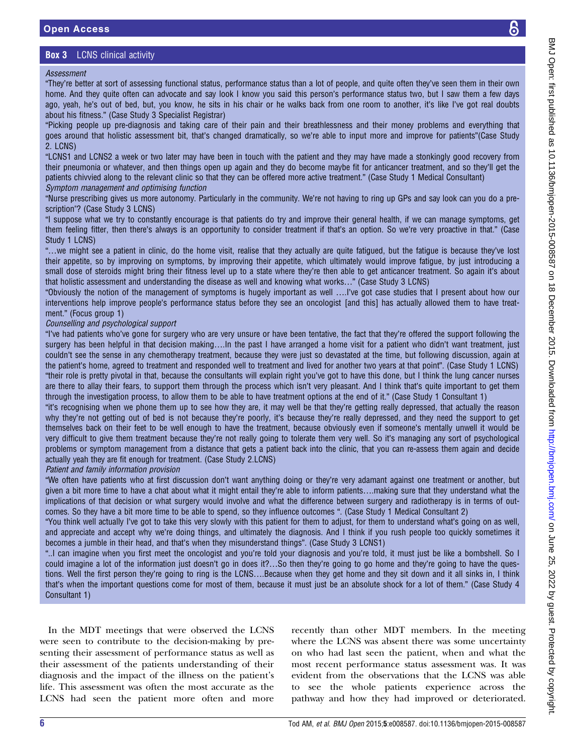#### <span id="page-5-0"></span>**Box 3** LCNS clinical activity

#### Assessment

"They're better at sort of assessing functional status, performance status than a lot of people, and quite often they've seen them in their own home. And they quite often can advocate and say look I know you said this person's performance status two, but I saw them a few days ago, yeah, he's out of bed, but, you know, he sits in his chair or he walks back from one room to another, it's like I've got real doubts about his fitness." (Case Study 3 Specialist Registrar)

"Picking people up pre-diagnosis and taking care of their pain and their breathlessness and their money problems and everything that goes around that holistic assessment bit, that's changed dramatically, so we're able to input more and improve for patients"(Case Study 2. LCNS)

"LCNS1 and LCNS2 a week or two later may have been in touch with the patient and they may have made a stonkingly good recovery from their pneumonia or whatever, and then things open up again and they do become maybe fit for anticancer treatment, and so they'll get the patients chivvied along to the relevant clinic so that they can be offered more active treatment." (Case Study 1 Medical Consultant) Symptom management and optimising function

"Nurse prescribing gives us more autonomy. Particularly in the community. We're not having to ring up GPs and say look can you do a prescription"? (Case Study 3 LCNS)

"I suppose what we try to constantly encourage is that patients do try and improve their general health, if we can manage symptoms, get them feeling fitter, then there's always is an opportunity to consider treatment if that's an option. So we're very proactive in that." (Case Study 1 LCNS)

"…we might see a patient in clinic, do the home visit, realise that they actually are quite fatigued, but the fatigue is because they've lost their appetite, so by improving on symptoms, by improving their appetite, which ultimately would improve fatigue, by just introducing a small dose of steroids might bring their fitness level up to a state where they're then able to get anticancer treatment. So again it's about that holistic assessment and understanding the disease as well and knowing what works…" (Case Study 3 LCNS)

"Obviously the notion of the management of symptoms is hugely important as well ….I've got case studies that I present about how our interventions help improve people's performance status before they see an oncologist [and this] has actually allowed them to have treatment." (Focus group 1)

#### Counselling and psychological support

"I've had patients who've gone for surgery who are very unsure or have been tentative, the fact that they're offered the support following the surgery has been helpful in that decision making….In the past I have arranged a home visit for a patient who didn't want treatment, just couldn't see the sense in any chemotherapy treatment, because they were just so devastated at the time, but following discussion, again at the patient's home, agreed to treatment and responded well to treatment and lived for another two years at that point". (Case Study 1 LCNS) "their role is pretty pivotal in that, because the consultants will explain right you've got to have this done, but I think the lung cancer nurses are there to allay their fears, to support them through the process which isn't very pleasant. And I think that's quite important to get them through the investigation process, to allow them to be able to have treatment options at the end of it." (Case Study 1 Consultant 1)

"it's recognising when we phone them up to see how they are, it may well be that they're getting really depressed, that actually the reason why they're not getting out of bed is not because they're poorly, it's because they're really depressed, and they need the support to get themselves back on their feet to be well enough to have the treatment, because obviously even if someone's mentally unwell it would be very difficult to give them treatment because they're not really going to tolerate them very well. So it's managing any sort of psychological problems or symptom management from a distance that gets a patient back into the clinic, that you can re-assess them again and decide actually yeah they are fit enough for treatment. (Case Study 2.LCNS)

#### Patient and family information provision

"We often have patients who at first discussion don't want anything doing or they're very adamant against one treatment or another, but given a bit more time to have a chat about what it might entail they're able to inform patients….making sure that they understand what the implications of that decision or what surgery would involve and what the difference between surgery and radiotherapy is in terms of outcomes. So they have a bit more time to be able to spend, so they influence outcomes ". (Case Study 1 Medical Consultant 2)

"You think well actually I've got to take this very slowly with this patient for them to adjust, for them to understand what's going on as well, and appreciate and accept why we're doing things, and ultimately the diagnosis. And I think if you rush people too quickly sometimes it becomes a jumble in their head, and that's when they misunderstand things". (Case Study 3 LCNS1)

"..I can imagine when you first meet the oncologist and you're told your diagnosis and you're told, it must just be like a bombshell. So I could imagine a lot of the information just doesn't go in does it?…So then they're going to go home and they're going to have the questions. Well the first person they're going to ring is the LCNS….Because when they get home and they sit down and it all sinks in, I think that's when the important questions come for most of them, because it must just be an absolute shock for a lot of them." (Case Study 4 Consultant 1)

In the MDT meetings that were observed the LCNS were seen to contribute to the decision-making by presenting their assessment of performance status as well as their assessment of the patients understanding of their diagnosis and the impact of the illness on the patient's life. This assessment was often the most accurate as the LCNS had seen the patient more often and more

recently than other MDT members. In the meeting where the LCNS was absent there was some uncertainty on who had last seen the patient, when and what the most recent performance status assessment was. It was evident from the observations that the LCNS was able to see the whole patients experience across the pathway and how they had improved or deteriorated.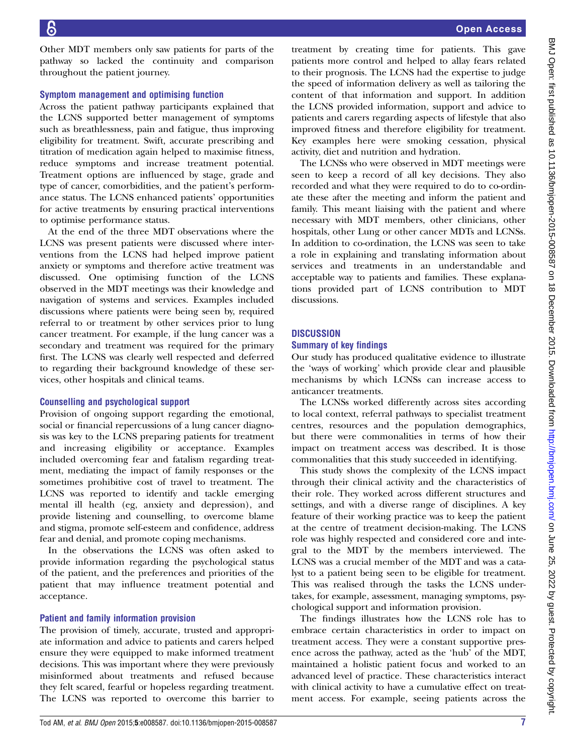Other MDT members only saw patients for parts of the pathway so lacked the continuity and comparison throughout the patient journey.

#### Symptom management and optimising function

Across the patient pathway participants explained that the LCNS supported better management of symptoms such as breathlessness, pain and fatigue, thus improving eligibility for treatment. Swift, accurate prescribing and titration of medication again helped to maximise fitness, reduce symptoms and increase treatment potential. Treatment options are influenced by stage, grade and type of cancer, comorbidities, and the patient's performance status. The LCNS enhanced patients' opportunities for active treatments by ensuring practical interventions to optimise performance status.

At the end of the three MDT observations where the LCNS was present patients were discussed where interventions from the LCNS had helped improve patient anxiety or symptoms and therefore active treatment was discussed. One optimising function of the LCNS observed in the MDT meetings was their knowledge and navigation of systems and services. Examples included discussions where patients were being seen by, required referral to or treatment by other services prior to lung cancer treatment. For example, if the lung cancer was a secondary and treatment was required for the primary first. The LCNS was clearly well respected and deferred to regarding their background knowledge of these services, other hospitals and clinical teams.

#### Counselling and psychological support

Provision of ongoing support regarding the emotional, social or financial repercussions of a lung cancer diagnosis was key to the LCNS preparing patients for treatment and increasing eligibility or acceptance. Examples included overcoming fear and fatalism regarding treatment, mediating the impact of family responses or the sometimes prohibitive cost of travel to treatment. The LCNS was reported to identify and tackle emerging mental ill health (eg, anxiety and depression), and provide listening and counselling, to overcome blame and stigma, promote self-esteem and confidence, address fear and denial, and promote coping mechanisms.

In the observations the LCNS was often asked to provide information regarding the psychological status of the patient, and the preferences and priorities of the patient that may influence treatment potential and acceptance.

#### Patient and family information provision

The provision of timely, accurate, trusted and appropriate information and advice to patients and carers helped ensure they were equipped to make informed treatment decisions. This was important where they were previously misinformed about treatments and refused because they felt scared, fearful or hopeless regarding treatment. The LCNS was reported to overcome this barrier to

treatment by creating time for patients. This gave patients more control and helped to allay fears related to their prognosis. The LCNS had the expertise to judge the speed of information delivery as well as tailoring the content of that information and support. In addition the LCNS provided information, support and advice to patients and carers regarding aspects of lifestyle that also improved fitness and therefore eligibility for treatment. Key examples here were smoking cessation, physical activity, diet and nutrition and hydration.

The LCNSs who were observed in MDT meetings were seen to keep a record of all key decisions. They also recorded and what they were required to do to co-ordinate these after the meeting and inform the patient and family. This meant liaising with the patient and where necessary with MDT members, other clinicians, other hospitals, other Lung or other cancer MDTs and LCNSs. In addition to co-ordination, the LCNS was seen to take a role in explaining and translating information about services and treatments in an understandable and acceptable way to patients and families. These explanations provided part of LCNS contribution to MDT discussions.

#### **DISCUSSION**

#### Summary of key findings

Our study has produced qualitative evidence to illustrate the 'ways of working' which provide clear and plausible mechanisms by which LCNSs can increase access to anticancer treatments.

The LCNSs worked differently across sites according to local context, referral pathways to specialist treatment centres, resources and the population demographics, but there were commonalities in terms of how their impact on treatment access was described. It is those commonalities that this study succeeded in identifying.

This study shows the complexity of the LCNS impact through their clinical activity and the characteristics of their role. They worked across different structures and settings, and with a diverse range of disciplines. A key feature of their working practice was to keep the patient at the centre of treatment decision-making. The LCNS role was highly respected and considered core and integral to the MDT by the members interviewed. The LCNS was a crucial member of the MDT and was a catalyst to a patient being seen to be eligible for treatment. This was realised through the tasks the LCNS undertakes, for example, assessment, managing symptoms, psychological support and information provision.

The findings illustrates how the LCNS role has to embrace certain characteristics in order to impact on treatment access. They were a constant supportive presence across the pathway, acted as the 'hub' of the MDT, maintained a holistic patient focus and worked to an advanced level of practice. These characteristics interact with clinical activity to have a cumulative effect on treatment access. For example, seeing patients across the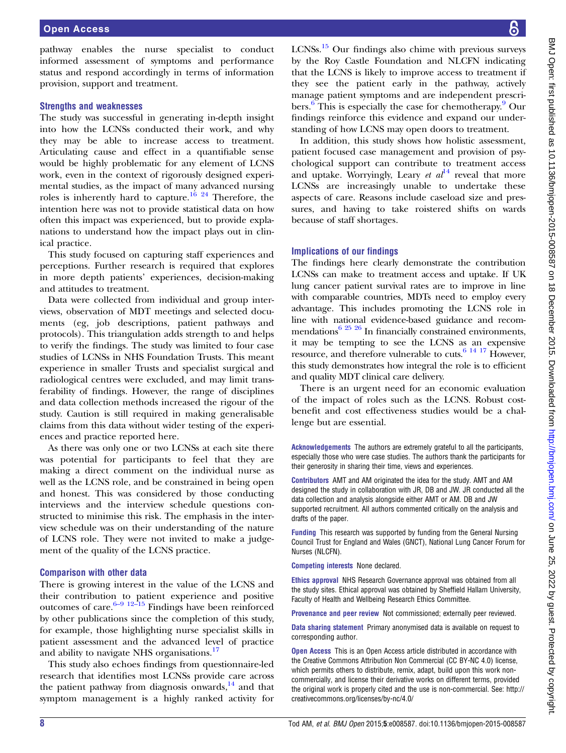pathway enables the nurse specialist to conduct informed assessment of symptoms and performance status and respond accordingly in terms of information provision, support and treatment.

#### Strengths and weaknesses

The study was successful in generating in-depth insight into how the LCNSs conducted their work, and why they may be able to increase access to treatment. Articulating cause and effect in a quantifiable sense would be highly problematic for any element of LCNS work, even in the context of rigorously designed experimental studies, as the impact of many advanced nursing roles is inherently hard to capture.<sup>[16 24](#page-8-0)</sup> Therefore, the intention here was not to provide statistical data on how often this impact was experienced, but to provide explanations to understand how the impact plays out in clinical practice.

This study focused on capturing staff experiences and perceptions. Further research is required that explores in more depth patients' experiences, decision-making and attitudes to treatment.

Data were collected from individual and group interviews, observation of MDT meetings and selected documents (eg, job descriptions, patient pathways and protocols). This triangulation adds strength to and helps to verify the findings. The study was limited to four case studies of LCNSs in NHS Foundation Trusts. This meant experience in smaller Trusts and specialist surgical and radiological centres were excluded, and may limit transferability of findings. However, the range of disciplines and data collection methods increased the rigour of the study. Caution is still required in making generalisable claims from this data without wider testing of the experiences and practice reported here.

As there was only one or two LCNSs at each site there was potential for participants to feel that they are making a direct comment on the individual nurse as well as the LCNS role, and be constrained in being open and honest. This was considered by those conducting interviews and the interview schedule questions constructed to minimise this risk. The emphasis in the interview schedule was on their understanding of the nature of LCNS role. They were not invited to make a judgement of the quality of the LCNS practice.

#### Comparison with other data

There is growing interest in the value of the LCNS and their contribution to patient experience and positive outcomes of care. $6-9$   $12-15$  $12-15$  Findings have been reinforced by other publications since the completion of this study, for example, those highlighting nurse specialist skills in patient assessment and the advanced level of practice and ability to navigate NHS organisations.<sup>[17](#page-8-0)</sup>

This study also echoes findings from questionnaire-led research that identifies most LCNSs provide care across the patient pathway from diagnosis onwards, $14$  and that symptom management is a highly ranked activity for

LCNSs.<sup>[15](#page-8-0)</sup> Our findings also chime with previous surveys by the Roy Castle Foundation and NLCFN indicating that the LCNS is likely to improve access to treatment if they see the patient early in the pathway, actively manage patient symptoms and are independent prescribers[.6](#page-8-0) This is especially the case for chemotherapy[.9](#page-8-0) Our findings reinforce this evidence and expand our understanding of how LCNS may open doors to treatment.

In addition, this study shows how holistic assessment, patient focused case management and provision of psychological support can contribute to treatment access and uptake. Worryingly, Leary et  $al^{14}$  $al^{14}$  $al^{14}$  reveal that more LCNSs are increasingly unable to undertake these aspects of care. Reasons include caseload size and pressures, and having to take roistered shifts on wards because of staff shortages.

#### Implications of our findings

The findings here clearly demonstrate the contribution LCNSs can make to treatment access and uptake. If UK lung cancer patient survival rates are to improve in line with comparable countries, MDTs need to employ every advantage. This includes promoting the LCNS role in line with national evidence-based guidance and recommendations $6\frac{25\frac{26}{10}}{26}$  In financially constrained environments, it may be tempting to see the LCNS as an expensive resource, and therefore vulnerable to cuts[.6 14 17](#page-8-0) However, this study demonstrates how integral the role is to efficient and quality MDT clinical care delivery.

There is an urgent need for an economic evaluation of the impact of roles such as the LCNS. Robust costbenefit and cost effectiveness studies would be a challenge but are essential.

Acknowledgements The authors are extremely grateful to all the participants, especially those who were case studies. The authors thank the participants for their generosity in sharing their time, views and experiences.

Contributors AMT and AM originated the idea for the study. AMT and AM designed the study in collaboration with JR, DB and JW. JR conducted all the data collection and analysis alongside either AMT or AM. DB and JW supported recruitment. All authors commented critically on the analysis and drafts of the paper.

Funding This research was supported by funding from the General Nursing Council Trust for England and Wales (GNCT), National Lung Cancer Forum for Nurses (NLCFN).

Competing interests None declared.

Ethics approval NHS Research Governance approval was obtained from all the study sites. Ethical approval was obtained by Sheffield Hallam University, Faculty of Health and Wellbeing Research Ethics Committee.

Provenance and peer review Not commissioned; externally peer reviewed.

Data sharing statement Primary anonymised data is available on request to corresponding author.

Open Access This is an Open Access article distributed in accordance with the Creative Commons Attribution Non Commercial (CC BY-NC 4.0) license, which permits others to distribute, remix, adapt, build upon this work noncommercially, and license their derivative works on different terms, provided the original work is properly cited and the use is non-commercial. See: [http://](http://creativecommons.org/licenses/by-nc/4.0/) [creativecommons.org/licenses/by-nc/4.0/](http://creativecommons.org/licenses/by-nc/4.0/)